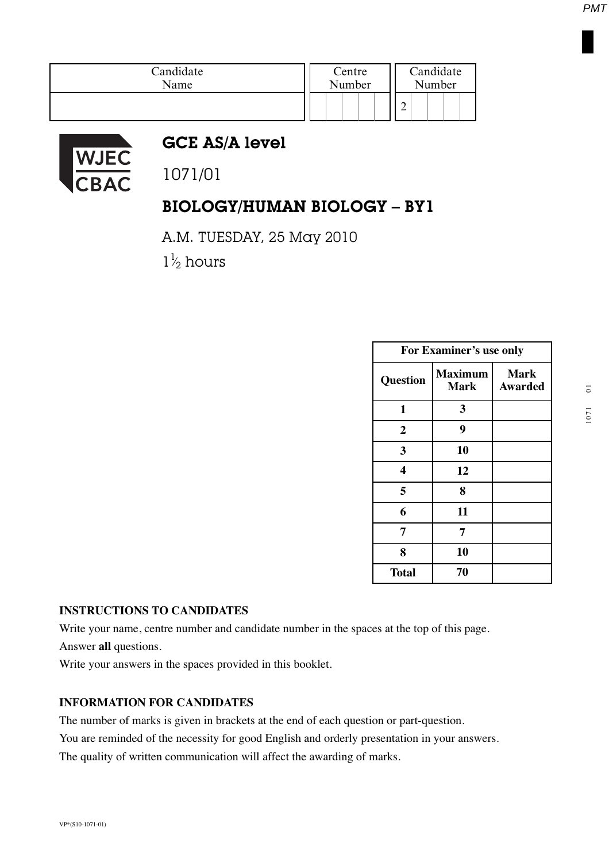| Candidate |
|-----------|
| Name      |

| Centre<br>Number |  |  | Candidate<br>Number |  |  |  |  |  |
|------------------|--|--|---------------------|--|--|--|--|--|
|                  |  |  |                     |  |  |  |  |  |



## GCE AS/A level

1071/01

# BIOLOGY/HUMAN BIOLOGY – BY1

A.M. TUESDAY, 25 May 2010

 $1\frac{1}{2}$  hours ⁄

| For Examiner's use only |                               |                               |  |  |  |  |
|-------------------------|-------------------------------|-------------------------------|--|--|--|--|
| Question                | <b>Maximum</b><br><b>Mark</b> | <b>Mark</b><br><b>Awarded</b> |  |  |  |  |
| 1                       | 3                             |                               |  |  |  |  |
| $\overline{2}$          | 9                             |                               |  |  |  |  |
| 3                       | 10                            |                               |  |  |  |  |
| 4                       | 12                            |                               |  |  |  |  |
| 5                       | 8                             |                               |  |  |  |  |
| 6                       | 11                            |                               |  |  |  |  |
| 7                       | 7                             |                               |  |  |  |  |
| 8                       | 10                            |                               |  |  |  |  |
| <b>Total</b>            | 70                            |                               |  |  |  |  |

## **INSTRUCTIONS TO CANDIDATES**

Write your name, centre number and candidate number in the spaces at the top of this page.

Answer **all** questions.

Write your answers in the spaces provided in this booklet.

## **INFORMATION FOR CANDIDATES**

The number of marks is given in brackets at the end of each question or part-question.

You are reminded of the necessity for good English and orderly presentation in your answers.

The quality of written communication will affect the awarding of marks.

 $\overline{\phantom{0}}$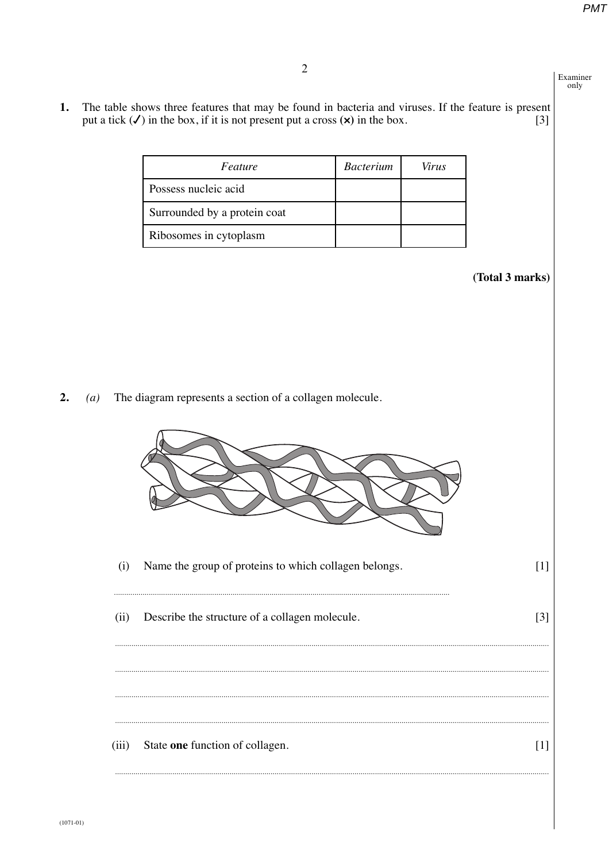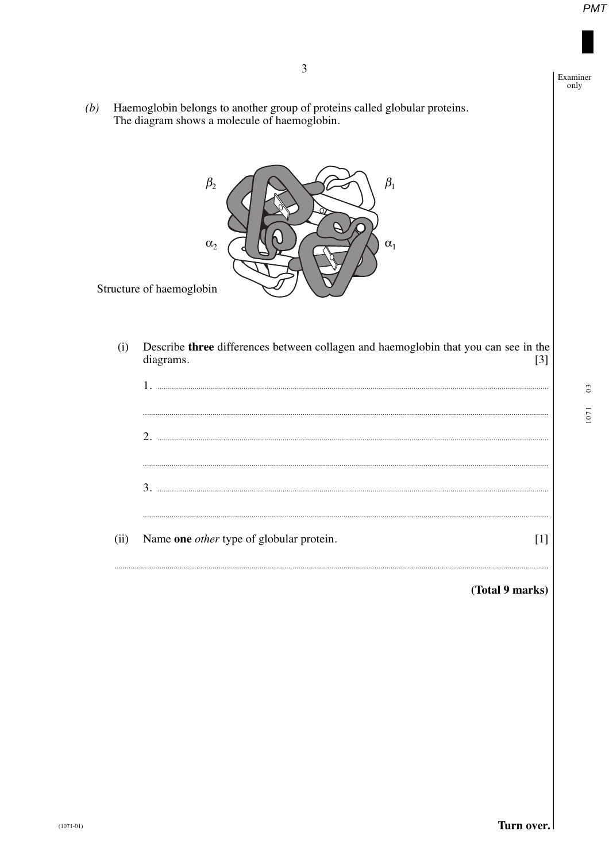Examiner only

 $(b)$ Haemoglobin belongs to another group of proteins called globular proteins. The diagram shows a molecule of haemoglobin.



Structure of haemoglobin

- Describe three differences between collagen and haemoglobin that you can see in the  $(i)$ diagrams.  $[3]$ 
	- $[1]$

Name one *other* type of globular protein.  $(ii)$ 

(Total 9 marks)

Turn over.

 $0<sup>3</sup>$ 1071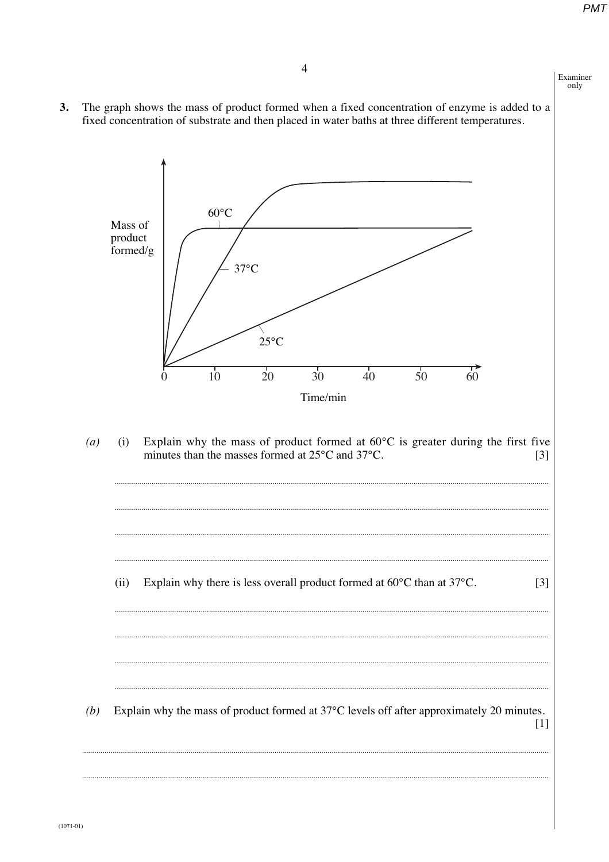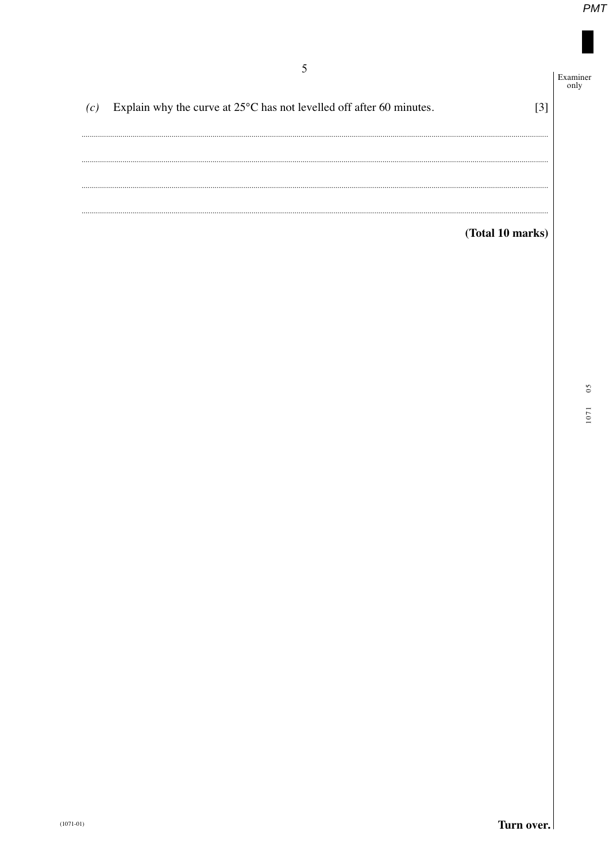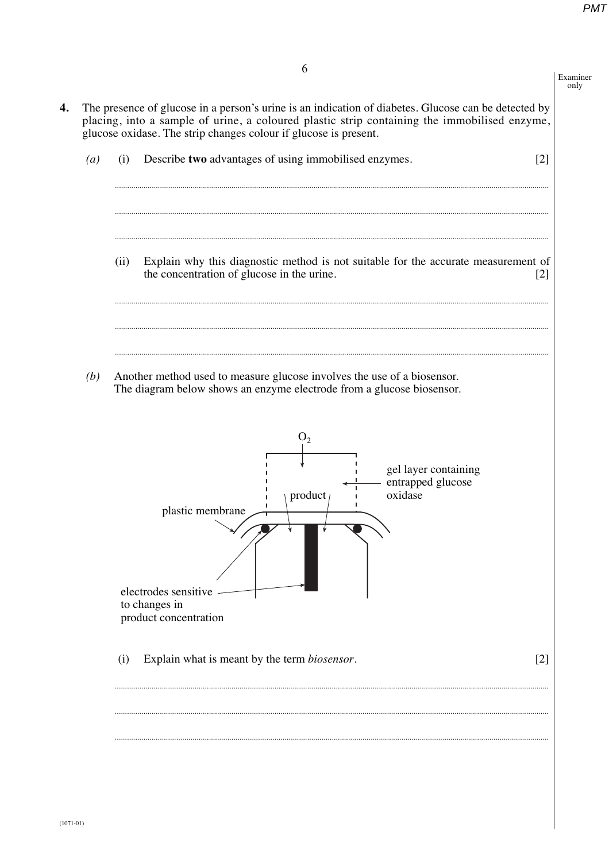Examiner only

 $\lceil 2 \rceil$ 

- The presence of glucose in a person's urine is an indication of diabetes. Glucose can be detected by  $\overline{4}$ . placing, into a sample of urine, a coloured plastic strip containing the immobilised enzyme, glucose oxidase. The strip changes colour if glucose is present. Describe two advantages of using immobilised enzymes.
	- Explain why this diagnostic method is not suitable for the accurate measurement of  $(ii)$ the concentration of glucose in the urine.  $\lceil 2 \rceil$
	- $(b)$ Another method used to measure glucose involves the use of a biosensor. The diagram below shows an enzyme electrode from a glucose biosensor.



 $(a)$ 

 $(i)$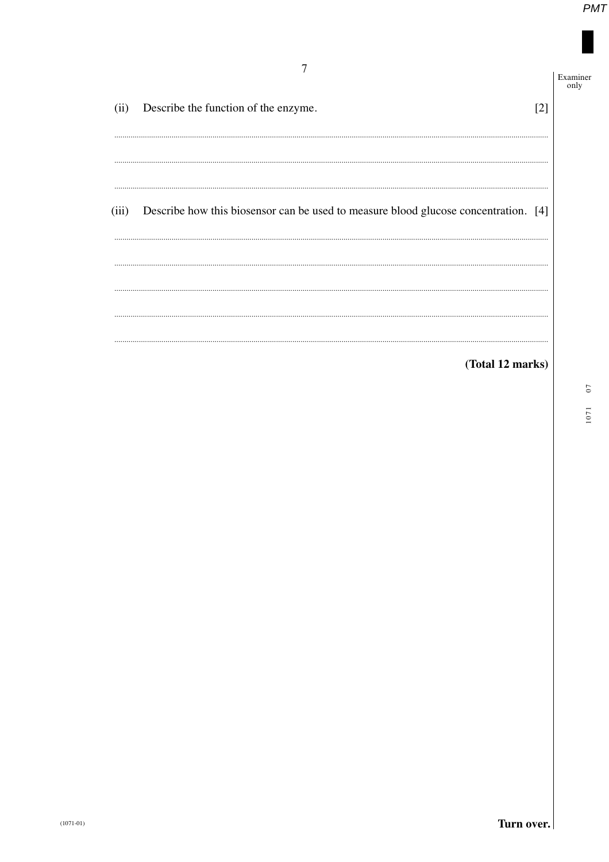

(Total 12 marks)

 $\overline{0}$ 1071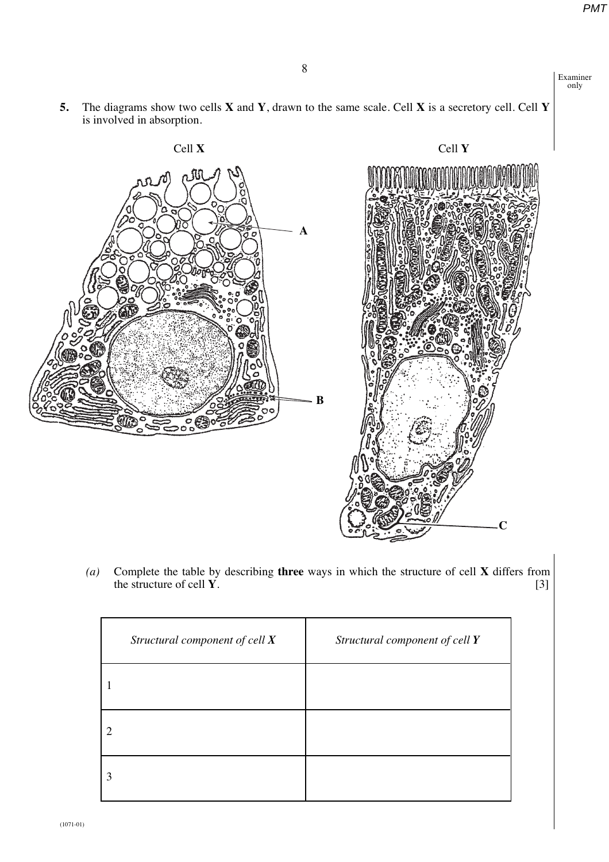- 8 Examiner only
- **5.** The diagrams show two cells **X** and **Y**, drawn to the same scale. Cell **X** is a secretory cell. Cell **Y** is involved in absorption.



*(a)* Complete the table by describing **three** ways in which the structure of cell **X** differs from the structure of cell **Y**. [3]

| Structural component of cell $X$ | Structural component of cell Y |
|----------------------------------|--------------------------------|
|                                  |                                |
| 2                                |                                |
| 3                                |                                |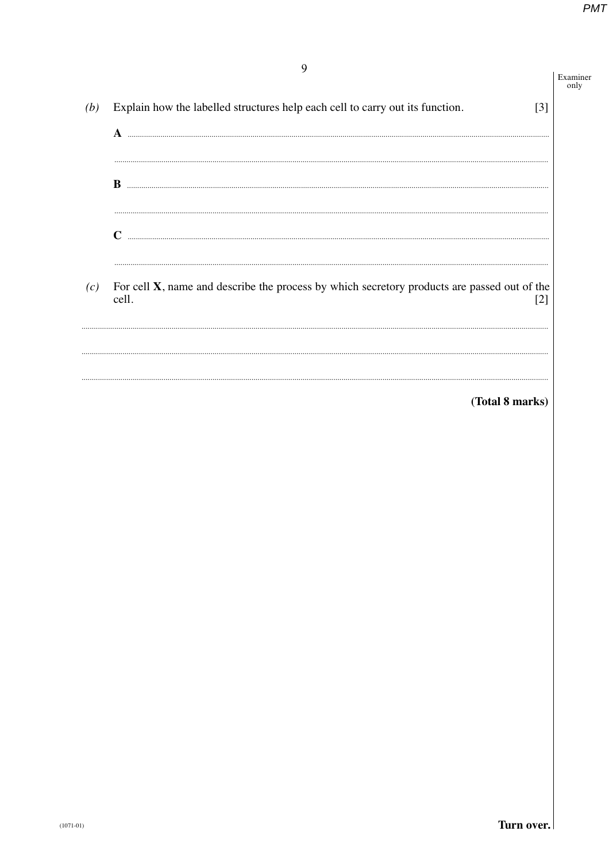|     | 9                                                                                                             | Examiner<br>only |
|-----|---------------------------------------------------------------------------------------------------------------|------------------|
| (b) | Explain how the labelled structures help each cell to carry out its function.<br>$[3]$                        |                  |
|     | $\mathbf A$                                                                                                   |                  |
|     |                                                                                                               |                  |
|     | B                                                                                                             |                  |
|     | $\mathbf C$                                                                                                   |                  |
|     |                                                                                                               |                  |
| (c) | For cell X, name and describe the process by which secretory products are passed out of the<br>cell.<br>$[2]$ |                  |
|     |                                                                                                               |                  |
|     |                                                                                                               |                  |
|     | (Total 8 marks)                                                                                               |                  |
|     |                                                                                                               |                  |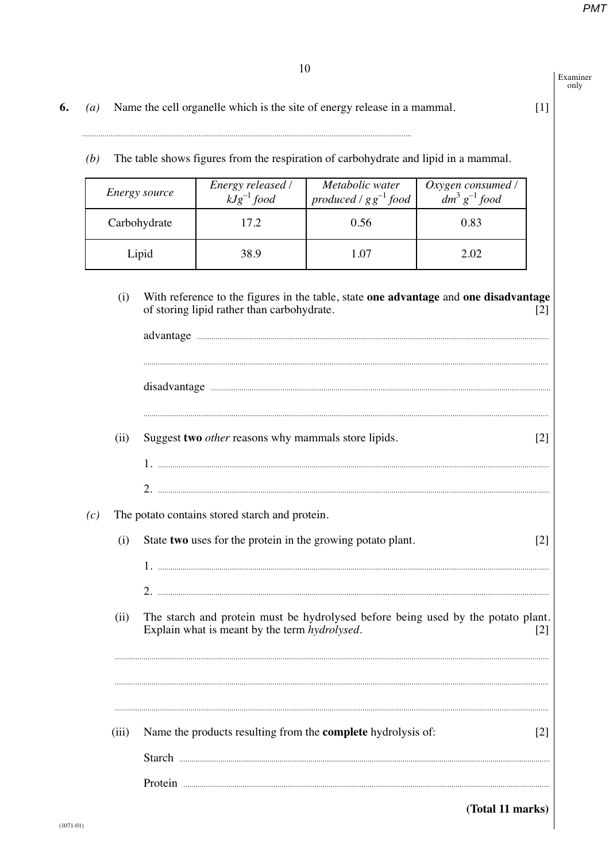Examiner only

 $[1]$ 

 $\lceil 2 \rceil$ 

#### (a) Name the cell organelle which is the site of energy release in a mammal. 6.

The table shows figures from the respiration of carbohydrate and lipid in a mammal.  $(b)$ 

| Energy source | Energy released /<br>$kJg^{-1}$ food | Metabolic water<br>produced / $gg^{-1}$ food | Oxygen consumed /<br>$dm^3g^{-1}$ food |
|---------------|--------------------------------------|----------------------------------------------|----------------------------------------|
| Carbohydrate  | 17.2                                 | 0.56                                         | 0.83                                   |
| Lipid         | 38.9                                 | 1.07                                         | 2.02                                   |

- With reference to the figures in the table, state one advantage and one disadvantage  $(i)$ of storing lipid rather than carbohydrate.  $\lceil 2 \rceil$ 
	- $[2]$
- $(ii)$ Suggest two *other* reasons why mammals store lipids.
	-
- The potato contains stored starch and protein.  $(c)$ 
	- $(i)$ State two uses for the protein in the growing potato plant.
		-
	- The starch and protein must be hydrolysed before being used by the potato plant.  $(ii)$ Explain what is meant by the term *hydrolysed*.  $\lceil 2 \rceil$

| (iii) | Name the products resulting from the <b>complete</b> hydrolysis of: | [2] |
|-------|---------------------------------------------------------------------|-----|
|       |                                                                     |     |
|       |                                                                     |     |

(Total 11 marks)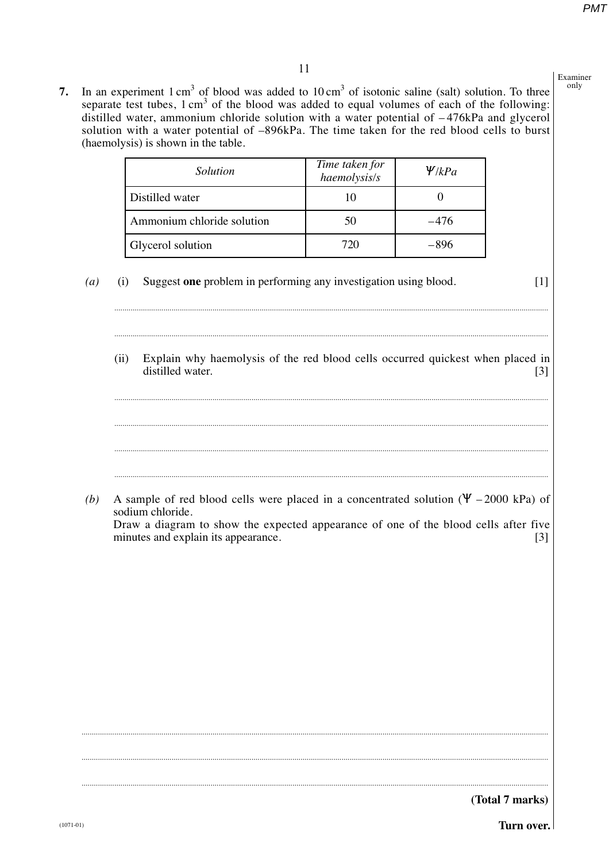Examiner only

 $[1]$ 

7. In an experiment  $1 \text{ cm}^3$  of blood was added to  $10 \text{ cm}^3$  of isotonic saline (salt) solution. To three separate test tubes,  $1 \text{ cm}^3$  of the blood was added to equal volumes of each of the following: distilled water, ammonium chloride solution with a water potential of  $-476kPa$  and glycerol solution with a water potential of -896kPa. The time taken for the red blood cells to burst (haemolysis) is shown in the table.

| Solution                   | Time taken for<br>haemolysis/s | $\Psi$ /kPa |
|----------------------------|--------------------------------|-------------|
| Distilled water            | 10                             |             |
| Ammonium chloride solution | 50                             | $-476$      |
| <b>Glycerol</b> solution   | 720                            | $-896$      |

#### Suggest one problem in performing any investigation using blood.  $(a)$  $(i)$

- Explain why haemolysis of the red blood cells occurred quickest when placed in
- $(ii)$ distilled water.  $\lceil 3 \rceil$ A sample of red blood cells were placed in a concentrated solution ( $\Psi$  -2000 kPa) of  $(b)$ sodium chloride. Draw a diagram to show the expected appearance of one of the blood cells after five minutes and explain its appearance.  $\lceil 3 \rceil$

(Total 7 marks)

Turn over.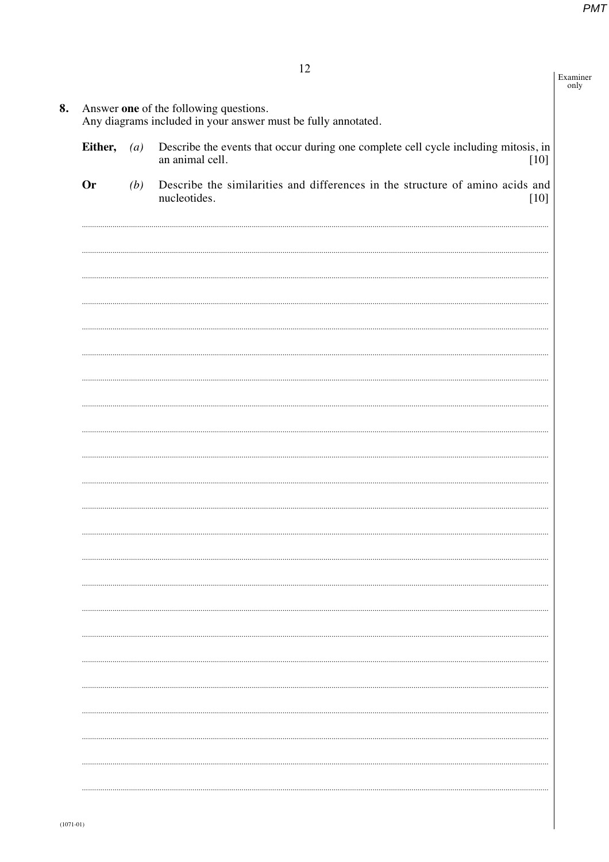|               |     | Answer one of the following questions.                                                                           |  |
|---------------|-----|------------------------------------------------------------------------------------------------------------------|--|
|               |     | Any diagrams included in your answer must be fully annotated.                                                    |  |
| Either, $(a)$ |     | Describe the events that occur during one complete cell cycle including mitosis, in<br>an animal cell.<br>$[10]$ |  |
| <b>Or</b>     | (b) | Describe the similarities and differences in the structure of amino acids and<br>nucleotides.<br>$[10]$          |  |
|               |     |                                                                                                                  |  |
|               |     |                                                                                                                  |  |
|               |     |                                                                                                                  |  |
|               |     |                                                                                                                  |  |
|               |     |                                                                                                                  |  |
|               |     |                                                                                                                  |  |
|               |     |                                                                                                                  |  |
|               |     |                                                                                                                  |  |
|               |     |                                                                                                                  |  |
|               |     |                                                                                                                  |  |
|               |     |                                                                                                                  |  |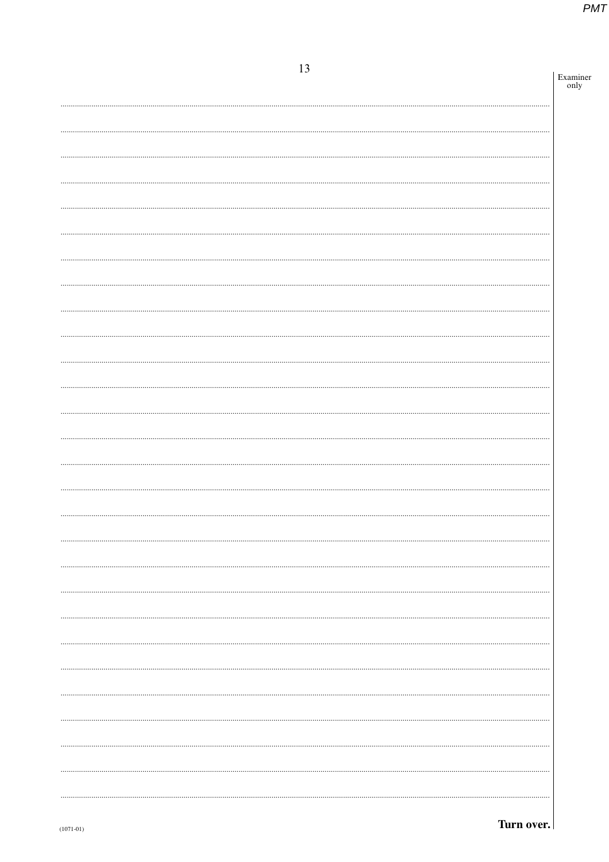| 13 | Examiner<br>only |
|----|------------------|
|    |                  |
|    |                  |
|    |                  |
|    |                  |
|    |                  |
|    |                  |
|    |                  |
|    |                  |
|    |                  |
|    |                  |
|    |                  |
|    |                  |
|    |                  |
|    |                  |
|    |                  |
|    |                  |
|    |                  |
|    |                  |
|    |                  |
|    |                  |
|    |                  |
|    |                  |
|    |                  |
|    |                  |